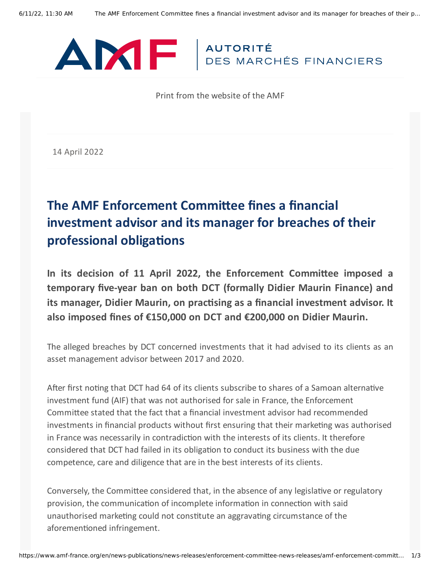

Print from the website of the AMF

14 April 2022

## **The AMF Enforcement Committee fines a financial investment advisor and its manager for breaches of their professional obligations**

**In its decision of 11 April 2022, the Enforcement Committee imposed a temporary five-year ban on both DCT (formally Didier Maurin Finance) and its manager, Didier Maurin, on practising as a financial investment advisor. It also imposed fines of €150,000 on DCT and €200,000 on Didier Maurin.**

The alleged breaches by DCT concerned investments that it had advised to its clients as an asset management advisor between 2017 and 2020.

After first noting that DCT had 64 of its clients subscribe to shares of a Samoan alternative investment fund (AIF) that was not authorised for sale in France, the Enforcement Committee stated that the fact that a financial investment advisor had recommended investments in financial products without first ensuring that their marketing was authorised in France was necessarily in contradiction with the interests of its clients. It therefore considered that DCT had failed in its obligation to conduct its business with the due competence, care and diligence that are in the best interests of its clients.

Conversely, the Committee considered that, in the absence of any legislative or regulatory provision, the communication of incomplete information in connection with said unauthorised marketing could not constitute an aggravating circumstance of the aforementioned infringement.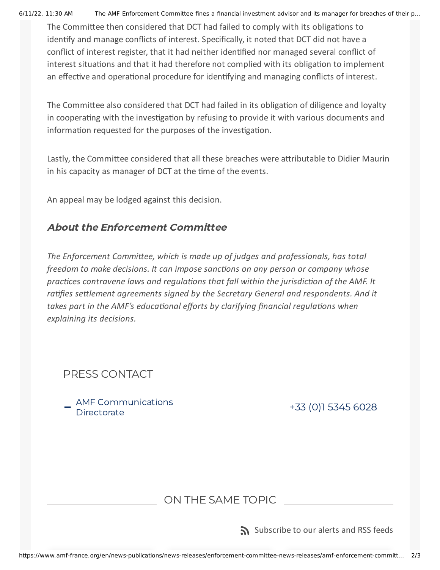6/11/22, 11:30 AM The AMF Enforcement Committee fines a financial investment advisor and its manager for breaches of their p…

The Committee then considered that DCT had failed to comply with its obligations to identify and manage conflicts of interest. Specifically, it noted that DCT did not have a conflict of interest register, that it had neither identified nor managed several conflict of interest situations and that it had therefore not complied with its obligation to implement an effective and operational procedure for identifying and managing conflicts of interest.

The Committee also considered that DCT had failed in its obligation of diligence and loyalty in cooperating with the investigation by refusing to provide it with various documents and information requested for the purposes of the investigation.

Lastly, the Committee considered that all these breaches were attributable to Didier Maurin in his capacity as manager of DCT at the time of the events.

An appeal may be lodged against this decision.

## About the Enforcement Committee

*The Enforcement Committee, which is made up of judges and professionals, has total freedom to make decisions. It can impose sanctions on any person or company whose practices contravene laws and regulations that fall within the jurisdiction of the AMF. It ratifies settlement agreements signed by the Secretary General and respondents. And it takes part in the AMF's educational efforts by clarifying financial regulations when explaining its decisions.*

AMF Communications<br>Directorate

+33 (0)1 5345 [6028](tel:+33153456028)

## ON THE SAME TOPIC

[Subscribe](https://www.amf-france.org/en/subscriptions-rss-feeds) to our alerts and RSS feeds